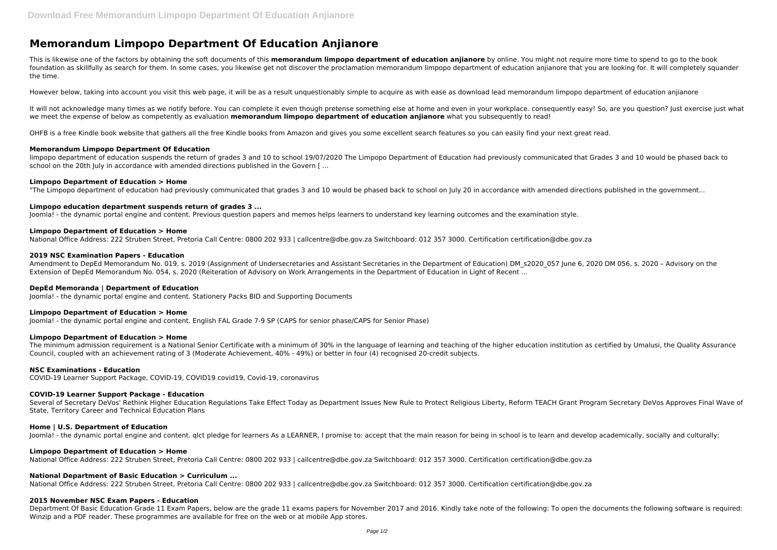# **Memorandum Limpopo Department Of Education Anjianore**

This is likewise one of the factors by obtaining the soft documents of this **memorandum limpopo department of education anjianore** by online. You might not require more time to spend to go to the book foundation as skillfully as search for them. In some cases, you likewise get not discover the proclamation memorandum limpopo department of education anjianore that you are looking for. It will completely squander the time.

It will not acknowledge many times as we notify before. You can complete it even though pretense something else at home and even in your workplace. consequently easy! So, are you question? Just exercise just what we meet the expense of below as competently as evaluation **memorandum limpopo department of education anjianore** what you subsequently to read!

However below, taking into account you visit this web page, it will be as a result unquestionably simple to acquire as with ease as download lead memorandum limpopo department of education anjianore

limpopo department of education suspends the return of grades 3 and 10 to school 19/07/2020 The Limpopo Department of Education had previously communicated that Grades 3 and 10 would be phased back to school on the 20th July in accordance with amended directions published in the Govern [...

OHFB is a free Kindle book website that gathers all the free Kindle books from Amazon and gives you some excellent search features so you can easily find your next great read.

# **Memorandum Limpopo Department Of Education**

Amendment to DepEd Memorandum No. 019, s. 2019 (Assignment of Undersecretaries and Assistant Secretaries in the Department of Education) DM\_s2020\_057 June 6, 2020 DM 056, s. 2020 – Advisory on the Extension of DepEd Memorandum No. 054, s. 2020 (Reiteration of Advisory on Work Arrangements in the Department of Education in Light of Recent ...

# **Limpopo Department of Education > Home**

"The Limpopo department of education had previously communicated that grades 3 and 10 would be phased back to school on July 20 in accordance with amended directions published in the government...

# **Limpopo education department suspends return of grades 3 ...**

Several of Secretary DeVos' Rethink Higher Education Regulations Take Effect Today as Department Issues New Rule to Protect Religious Liberty, Reform TEACH Grant Program Secretary DeVos Approves Final Wave of State, Territory Career and Technical Education Plans

Joomla! - the dynamic portal engine and content. Previous question papers and memos helps learners to understand key learning outcomes and the examination style.

#### **Limpopo Department of Education > Home**

National Office Address: 222 Struben Street, Pretoria Call Centre: 0800 202 933 | callcentre@dbe.gov.za Switchboard: 012 357 3000. Certification certification@dbe.gov.za

# **2019 NSC Examination Papers - Education**

# **DepEd Memoranda | Department of Education**

Joomla! - the dynamic portal engine and content. Stationery Packs BID and Supporting Documents

#### **Limpopo Department of Education > Home**

Joomla! - the dynamic portal engine and content. English FAL Grade 7-9 SP (CAPS for senior phase/CAPS for Senior Phase)

# **Limpopo Department of Education > Home**

The minimum admission requirement is a National Senior Certificate with a minimum of 30% in the language of learning and teaching of the higher education institution as certified by Umalusi, the Quality Assurance Council, coupled with an achievement rating of 3 (Moderate Achievement, 40% - 49%) or better in four (4) recognised 20-credit subjects.

#### **NSC Examinations - Education**

COVID-19 Learner Support Package, COVID-19, COVID19 covid19, Covid-19, coronavirus

#### **COVID-19 Learner Support Package - Education**

#### **Home | U.S. Department of Education**

Joomla! - the dynamic portal engine and content. glct pledge for learners As a LEARNER, I promise to: accept that the main reason for being in school is to learn and develop academically, socially and culturally;

#### **Limpopo Department of Education > Home**

National Office Address: 222 Struben Street, Pretoria Call Centre: 0800 202 933 | callcentre@dbe.gov.za Switchboard: 012 357 3000. Certification certification@dbe.gov.za

# **National Department of Basic Education > Curriculum ...**

National Office Address: 222 Struben Street, Pretoria Call Centre: 0800 202 933 | callcentre@dbe.gov.za Switchboard: 012 357 3000. Certification certification@dbe.gov.za

#### **2015 November NSC Exam Papers - Education**

Department Of Basic Education Grade 11 Exam Papers, below are the grade 11 exams papers for November 2017 and 2016. Kindly take note of the following: To open the documents the following software is required: Winzip and a PDF reader. These programmes are available for free on the web or at mobile App stores.